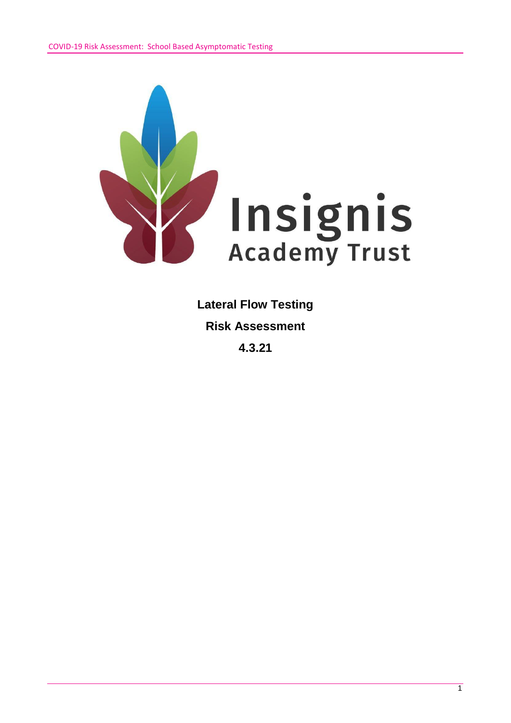

**Lateral Flow Testing Risk Assessment 4.3.21**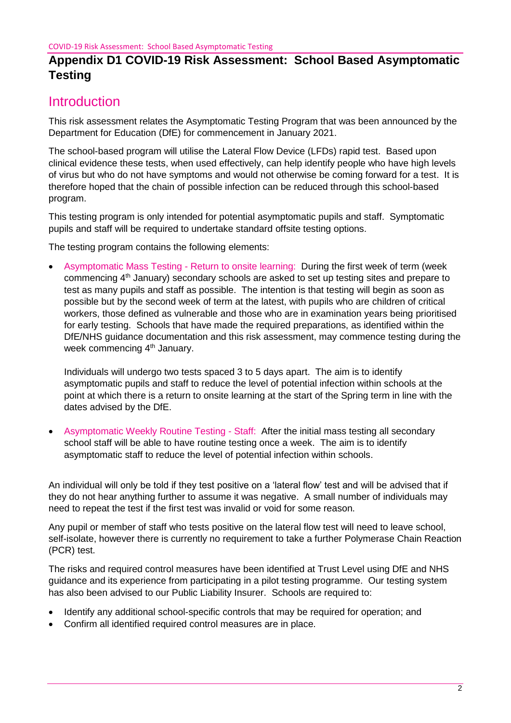## **Introduction**

This risk assessment relates the Asymptomatic Testing Program that was been announced by the Department for Education (DfE) for commencement in January 2021.

The school-based program will utilise the Lateral Flow Device (LFDs) rapid test. Based upon clinical evidence these tests, when used effectively, can help identify people who have high levels of virus but who do not have symptoms and would not otherwise be coming forward for a test. It is therefore hoped that the chain of possible infection can be reduced through this school-based program.

This testing program is only intended for potential asymptomatic pupils and staff. Symptomatic pupils and staff will be required to undertake standard offsite testing options.

The testing program contains the following elements:

 Asymptomatic Mass Testing - Return to onsite learning: During the first week of term (week commencing 4th January) secondary schools are asked to set up testing sites and prepare to test as many pupils and staff as possible. The intention is that testing will begin as soon as possible but by the second week of term at the latest, with pupils who are children of critical workers, those defined as vulnerable and those who are in examination years being prioritised for early testing. Schools that have made the required preparations, as identified within the DfE/NHS guidance documentation and this risk assessment, may commence testing during the week commencing 4<sup>th</sup> January.

Individuals will undergo two tests spaced 3 to 5 days apart. The aim is to identify asymptomatic pupils and staff to reduce the level of potential infection within schools at the point at which there is a return to onsite learning at the start of the Spring term in line with the dates advised by the DfE.

 Asymptomatic Weekly Routine Testing - Staff: After the initial mass testing all secondary school staff will be able to have routine testing once a week. The aim is to identify asymptomatic staff to reduce the level of potential infection within schools.

An individual will only be told if they test positive on a 'lateral flow' test and will be advised that if they do not hear anything further to assume it was negative. A small number of individuals may need to repeat the test if the first test was invalid or void for some reason.

Any pupil or member of staff who tests positive on the lateral flow test will need to leave school, self-isolate, however there is currently no requirement to take a further Polymerase Chain Reaction (PCR) test.

The risks and required control measures have been identified at Trust Level using DfE and NHS guidance and its experience from participating in a pilot testing programme. Our testing system has also been advised to our Public Liability Insurer. Schools are required to:

- Identify any additional school-specific controls that may be required for operation; and
- Confirm all identified required control measures are in place.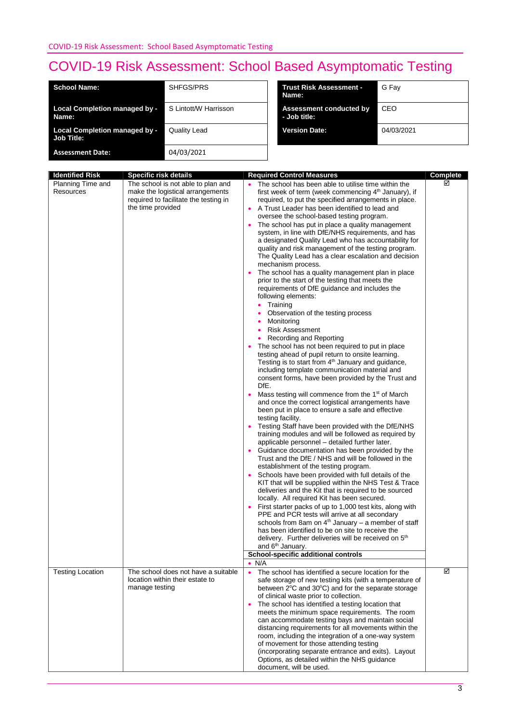| <b>School Name:</b>                                       | SHFGS/PRS             | <b>Trust Risk Assessment -</b><br>Name: | G Fav      |
|-----------------------------------------------------------|-----------------------|-----------------------------------------|------------|
| <b>Local Completion managed by -</b><br>Name:             | S Lintott/W Harrisson | Assessment conducted by<br>- Job title: | CEO        |
| <b>Local Completion managed by -</b><br><b>Job Title:</b> | <b>Quality Lead</b>   | <b>Version Date:</b>                    | 04/03/2021 |
| <b>Assessment Date:</b>                                   | 04/03/2021            |                                         |            |

| <b>Identified Risk</b>         |                                                                                                                                                                      |                                                                                                                                                                                                                                                                                                                                                                                                                                                                                                                                                                                                                                                                                                                                                                                                                                                                                                                                                                                                                                                                                                                                                                                                                                                                                                                                                                                                                                                                                                                                                                                                                                                                                                                                                                                                                                                                                                                                                                                                                                                                                                                                                                                                                                                                                                                                                                                   |                      |
|--------------------------------|----------------------------------------------------------------------------------------------------------------------------------------------------------------------|-----------------------------------------------------------------------------------------------------------------------------------------------------------------------------------------------------------------------------------------------------------------------------------------------------------------------------------------------------------------------------------------------------------------------------------------------------------------------------------------------------------------------------------------------------------------------------------------------------------------------------------------------------------------------------------------------------------------------------------------------------------------------------------------------------------------------------------------------------------------------------------------------------------------------------------------------------------------------------------------------------------------------------------------------------------------------------------------------------------------------------------------------------------------------------------------------------------------------------------------------------------------------------------------------------------------------------------------------------------------------------------------------------------------------------------------------------------------------------------------------------------------------------------------------------------------------------------------------------------------------------------------------------------------------------------------------------------------------------------------------------------------------------------------------------------------------------------------------------------------------------------------------------------------------------------------------------------------------------------------------------------------------------------------------------------------------------------------------------------------------------------------------------------------------------------------------------------------------------------------------------------------------------------------------------------------------------------------------------------------------------------|----------------------|
| Planning Time and<br>Resources | <b>Specific risk details</b><br>The school is not able to plan and<br>make the logistical arrangements<br>required to facilitate the testing in<br>the time provided | <b>Required Control Measures</b><br>The school has been able to utilise time within the<br>first week of term (week commencing 4 <sup>th</sup> January), if<br>required, to put the specified arrangements in place.<br>A Trust Leader has been identified to lead and<br>$\bullet$<br>oversee the school-based testing program.<br>The school has put in place a quality management<br>system, in line with DfE/NHS requirements, and has<br>a designated Quality Lead who has accountability for<br>quality and risk management of the testing program.<br>The Quality Lead has a clear escalation and decision<br>mechanism process.<br>The school has a quality management plan in place<br>prior to the start of the testing that meets the<br>requirements of DfE guidance and includes the<br>following elements:<br>Training<br>٠<br>Observation of the testing process<br>Monitoring<br>٠<br><b>Risk Assessment</b><br>٠<br>Recording and Reporting<br>The school has not been required to put in place<br>testing ahead of pupil return to onsite learning.<br>Testing is to start from 4 <sup>th</sup> January and guidance,<br>including template communication material and<br>consent forms, have been provided by the Trust and<br>DfE.<br>Mass testing will commence from the 1 <sup>st</sup> of March<br>and once the correct logistical arrangements have<br>been put in place to ensure a safe and effective<br>testing facility.<br>Testing Staff have been provided with the DfE/NHS<br>training modules and will be followed as required by<br>applicable personnel - detailed further later.<br>Guidance documentation has been provided by the<br>Trust and the DfE / NHS and will be followed in the<br>establishment of the testing program.<br>Schools have been provided with full details of the<br>$\bullet$<br>KIT that will be supplied within the NHS Test & Trace<br>deliveries and the Kit that is required to be sourced<br>locally. All required Kit has been secured.<br>First starter packs of up to 1,000 test kits, along with<br>PPE and PCR tests will arrive at all secondary<br>schools from 8am on $4th$ January – a member of staff<br>has been identified to be on site to receive the<br>delivery. Further deliveries will be received on 5 <sup>th</sup><br>and 6 <sup>th</sup> January.<br>School-specific additional controls | <b>Complete</b><br>☑ |
|                                |                                                                                                                                                                      | $\bullet$ N/A                                                                                                                                                                                                                                                                                                                                                                                                                                                                                                                                                                                                                                                                                                                                                                                                                                                                                                                                                                                                                                                                                                                                                                                                                                                                                                                                                                                                                                                                                                                                                                                                                                                                                                                                                                                                                                                                                                                                                                                                                                                                                                                                                                                                                                                                                                                                                                     |                      |
| <b>Testing Location</b>        | The school does not have a suitable<br>location within their estate to<br>manage testing                                                                             | The school has identified a secure location for the<br>$\bullet$<br>safe storage of new testing kits (with a temperature of<br>between 2°C and 30°C) and for the separate storage<br>of clinical waste prior to collection.<br>The school has identified a testing location that<br>meets the minimum space requirements. The room<br>can accommodate testing bays and maintain social<br>distancing requirements for all movements within the<br>room, including the integration of a one-way system<br>of movement for those attending testing<br>(incorporating separate entrance and exits). Layout<br>Options, as detailed within the NHS guidance<br>document, will be used.                                                                                                                                                                                                                                                                                                                                                                                                                                                                                                                                                                                                                                                                                                                                                                                                                                                                                                                                                                                                                                                                                                                                                                                                                                                                                                                                                                                                                                                                                                                                                                                                                                                                                                | ☑                    |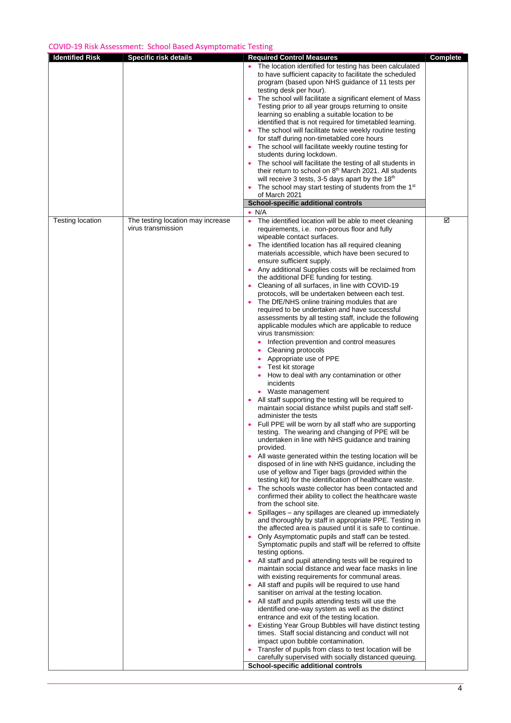| <b>Identified Risk</b>  | <b>Specific risk details</b>                            | <b>Required Control Measures</b>                                                                                                                                                                                                                                                                                                                                                                                                                                                                                                                                                                                                                                                                                                                                                                                                                                                                                                                                                                                                                                                                                                                                                                                                                                                                                                                                                                                                                                                                                                                                                                                                                                                                                                                                                                                                                                                                                                                                                                                                                                                                                                                                                                                                                                                                                                                                                                                                                                                                                                                                                                                                                                                                                                                                                  | <b>Complete</b> |
|-------------------------|---------------------------------------------------------|-----------------------------------------------------------------------------------------------------------------------------------------------------------------------------------------------------------------------------------------------------------------------------------------------------------------------------------------------------------------------------------------------------------------------------------------------------------------------------------------------------------------------------------------------------------------------------------------------------------------------------------------------------------------------------------------------------------------------------------------------------------------------------------------------------------------------------------------------------------------------------------------------------------------------------------------------------------------------------------------------------------------------------------------------------------------------------------------------------------------------------------------------------------------------------------------------------------------------------------------------------------------------------------------------------------------------------------------------------------------------------------------------------------------------------------------------------------------------------------------------------------------------------------------------------------------------------------------------------------------------------------------------------------------------------------------------------------------------------------------------------------------------------------------------------------------------------------------------------------------------------------------------------------------------------------------------------------------------------------------------------------------------------------------------------------------------------------------------------------------------------------------------------------------------------------------------------------------------------------------------------------------------------------------------------------------------------------------------------------------------------------------------------------------------------------------------------------------------------------------------------------------------------------------------------------------------------------------------------------------------------------------------------------------------------------------------------------------------------------------------------------------------------------|-----------------|
|                         |                                                         | The location identified for testing has been calculated<br>to have sufficient capacity to facilitate the scheduled<br>program (based upon NHS guidance of 11 tests per<br>testing desk per hour).<br>The school will facilitate a significant element of Mass<br>Testing prior to all year groups returning to onsite<br>learning so enabling a suitable location to be<br>identified that is not required for timetabled learning.<br>The school will facilitate twice weekly routine testing<br>٠<br>for staff during non-timetabled core hours<br>• The school will facilitate weekly routine testing for<br>students during lockdown.<br>The school will facilitate the testing of all students in<br>their return to school on 8 <sup>th</sup> March 2021. All students<br>will receive 3 tests, 3-5 days apart by the 18 <sup>th</sup><br>The school may start testing of students from the 1 <sup>st</sup><br>٠<br>of March 2021<br>School-specific additional controls                                                                                                                                                                                                                                                                                                                                                                                                                                                                                                                                                                                                                                                                                                                                                                                                                                                                                                                                                                                                                                                                                                                                                                                                                                                                                                                                                                                                                                                                                                                                                                                                                                                                                                                                                                                                    |                 |
| <b>Testing location</b> | The testing location may increase<br>virus transmission | $\bullet$ N/A<br>The identified location will be able to meet cleaning<br>$\bullet$<br>requirements, i.e. non-porous floor and fully<br>wipeable contact surfaces.<br>The identified location has all required cleaning<br>materials accessible, which have been secured to<br>ensure sufficient supply.<br>• Any additional Supplies costs will be reclaimed from<br>the additional DFE funding for testing.<br>Cleaning of all surfaces, in line with COVID-19<br>$\bullet$<br>protocols, will be undertaken between each test.<br>The DfE/NHS online training modules that are<br>required to be undertaken and have successful<br>assessments by all testing staff, include the following<br>applicable modules which are applicable to reduce<br>virus transmission:<br>Infection prevention and control measures<br>Cleaning protocols<br>Appropriate use of PPE<br>Test kit storage<br>How to deal with any contamination or other<br>incidents<br>• Waste management<br>All staff supporting the testing will be required to<br>$\bullet$<br>maintain social distance whilst pupils and staff self-<br>administer the tests<br>Full PPE will be worn by all staff who are supporting<br>testing. The wearing and changing of PPE will be<br>undertaken in line with NHS guidance and training<br>provided.<br>All waste generated within the testing location will be<br>$\bullet$<br>disposed of in line with NHS guidance, including the<br>use of yellow and Tiger bags (provided within the<br>testing kit) for the identification of healthcare waste.<br>The schools waste collector has been contacted and<br>confirmed their ability to collect the healthcare waste<br>from the school site.<br>Spillages - any spillages are cleaned up immediately<br>and thoroughly by staff in appropriate PPE. Testing in<br>the affected area is paused until it is safe to continue.<br>Only Asymptomatic pupils and staff can be tested.<br>٠<br>Symptomatic pupils and staff will be referred to offsite<br>testing options.<br>All staff and pupil attending tests will be required to<br>maintain social distance and wear face masks in line<br>with existing requirements for communal areas.<br>All staff and pupils will be required to use hand<br>$\bullet$<br>sanitiser on arrival at the testing location.<br>All staff and pupils attending tests will use the<br>$\bullet$<br>identified one-way system as well as the distinct<br>entrance and exit of the testing location.<br>Existing Year Group Bubbles will have distinct testing<br>٠<br>times. Staff social distancing and conduct will not<br>impact upon bubble contamination.<br>Transfer of pupils from class to test location will be<br>carefully supervised with socially distanced queuing. | ☑               |
|                         |                                                         | School-specific additional controls                                                                                                                                                                                                                                                                                                                                                                                                                                                                                                                                                                                                                                                                                                                                                                                                                                                                                                                                                                                                                                                                                                                                                                                                                                                                                                                                                                                                                                                                                                                                                                                                                                                                                                                                                                                                                                                                                                                                                                                                                                                                                                                                                                                                                                                                                                                                                                                                                                                                                                                                                                                                                                                                                                                                               |                 |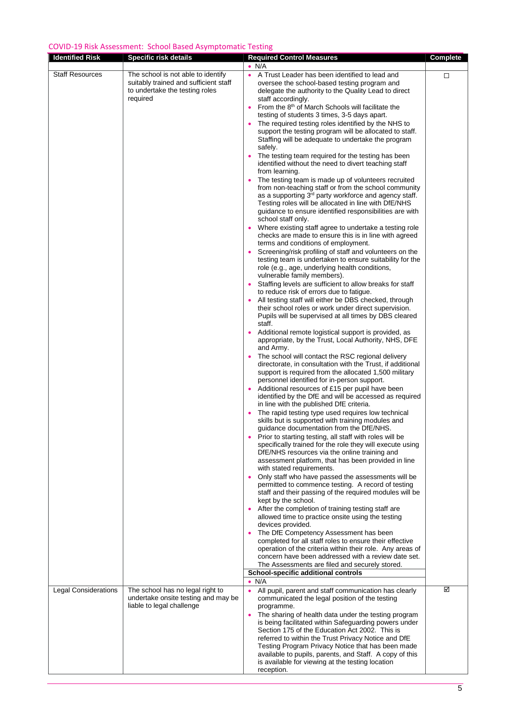| <b>Identified Risk</b>      | <b>Specific risk details</b>                                                                                              | <b>Required Control Measures</b><br>$\bullet$ N/A                                                                                                                                                                                                                                                                                                                                                                                                                                                                                                                                                                                                                                                                                                                                                                                                                                                                                                                                                                                                                                                                                                                                                                                                                                                                                                                                                                                                                                                                                                                                                                                                                                                                                                                                                                                                                                                                                                                                                                                                                                                                                                                                                                                                                                                                                                                                                                                                                                                                                                                                                                                                                                                                                                                                                                                                                                                                                                                                                                                                                                                                                                                                                                                                                                             | <b>Complete</b> |
|-----------------------------|---------------------------------------------------------------------------------------------------------------------------|-----------------------------------------------------------------------------------------------------------------------------------------------------------------------------------------------------------------------------------------------------------------------------------------------------------------------------------------------------------------------------------------------------------------------------------------------------------------------------------------------------------------------------------------------------------------------------------------------------------------------------------------------------------------------------------------------------------------------------------------------------------------------------------------------------------------------------------------------------------------------------------------------------------------------------------------------------------------------------------------------------------------------------------------------------------------------------------------------------------------------------------------------------------------------------------------------------------------------------------------------------------------------------------------------------------------------------------------------------------------------------------------------------------------------------------------------------------------------------------------------------------------------------------------------------------------------------------------------------------------------------------------------------------------------------------------------------------------------------------------------------------------------------------------------------------------------------------------------------------------------------------------------------------------------------------------------------------------------------------------------------------------------------------------------------------------------------------------------------------------------------------------------------------------------------------------------------------------------------------------------------------------------------------------------------------------------------------------------------------------------------------------------------------------------------------------------------------------------------------------------------------------------------------------------------------------------------------------------------------------------------------------------------------------------------------------------------------------------------------------------------------------------------------------------------------------------------------------------------------------------------------------------------------------------------------------------------------------------------------------------------------------------------------------------------------------------------------------------------------------------------------------------------------------------------------------------------------------------------------------------------------------------------------------------|-----------------|
| <b>Staff Resources</b>      | The school is not able to identify<br>suitably trained and sufficient staff<br>to undertake the testing roles<br>required | A Trust Leader has been identified to lead and<br>$\bullet$<br>oversee the school-based testing program and<br>delegate the authority to the Quality Lead to direct<br>staff accordingly.<br>From the 8 <sup>th</sup> of March Schools will facilitate the<br>$\bullet$<br>testing of students 3 times, 3-5 days apart.<br>The required testing roles identified by the NHS to<br>support the testing program will be allocated to staff.<br>Staffing will be adequate to undertake the program<br>safely.<br>The testing team required for the testing has been<br>identified without the need to divert teaching staff<br>from learning.<br>The testing team is made up of volunteers recruited<br>$\bullet$<br>from non-teaching staff or from the school community<br>as a supporting 3 <sup>rd</sup> party workforce and agency staff.<br>Testing roles will be allocated in line with DfE/NHS<br>guidance to ensure identified responsibilities are with<br>school staff only.<br>Where existing staff agree to undertake a testing role<br>checks are made to ensure this is in line with agreed<br>terms and conditions of employment.<br>Screening/risk profiling of staff and volunteers on the<br>$\bullet$<br>testing team is undertaken to ensure suitability for the<br>role (e.g., age, underlying health conditions,<br>vulnerable family members).<br>Staffing levels are sufficient to allow breaks for staff<br>$\bullet$<br>to reduce risk of errors due to fatigue.<br>All testing staff will either be DBS checked, through<br>their school roles or work under direct supervision.<br>Pupils will be supervised at all times by DBS cleared<br>staff.<br>Additional remote logistical support is provided, as<br>appropriate, by the Trust, Local Authority, NHS, DFE<br>and Army.<br>The school will contact the RSC regional delivery<br>$\bullet$<br>directorate, in consultation with the Trust, if additional<br>support is required from the allocated 1,500 military<br>personnel identified for in-person support.<br>Additional resources of £15 per pupil have been<br>identified by the DfE and will be accessed as required<br>in line with the published DfE criteria.<br>The rapid testing type used requires low technical<br>$\bullet$<br>skills but is supported with training modules and<br>guidance documentation from the DfE/NHS.<br>Prior to starting testing, all staff with roles will be<br>specifically trained for the role they will execute using<br>DfE/NHS resources via the online training and<br>assessment platform, that has been provided in line<br>with stated requirements.<br>Only staff who have passed the assessments will be<br>permitted to commence testing. A record of testing<br>staff and their passing of the required modules will be<br>kept by the school.<br>• After the completion of training testing staff are<br>allowed time to practice onsite using the testing<br>devices provided.<br>The DfE Competency Assessment has been<br>completed for all staff roles to ensure their effective<br>operation of the criteria within their role. Any areas of<br>concern have been addressed with a review date set.<br>The Assessments are filed and securely stored.<br>School-specific additional controls | □               |
|                             |                                                                                                                           | $\bullet$ N/A                                                                                                                                                                                                                                                                                                                                                                                                                                                                                                                                                                                                                                                                                                                                                                                                                                                                                                                                                                                                                                                                                                                                                                                                                                                                                                                                                                                                                                                                                                                                                                                                                                                                                                                                                                                                                                                                                                                                                                                                                                                                                                                                                                                                                                                                                                                                                                                                                                                                                                                                                                                                                                                                                                                                                                                                                                                                                                                                                                                                                                                                                                                                                                                                                                                                                 | ☑               |
| <b>Legal Considerations</b> | The school has no legal right to<br>undertake onsite testing and may be<br>liable to legal challenge                      | All pupil, parent and staff communication has clearly<br>$\bullet$<br>communicated the legal position of the testing<br>programme.<br>The sharing of health data under the testing program<br>$\bullet$<br>is being facilitated within Safeguarding powers under<br>Section 175 of the Education Act 2002. This is<br>referred to within the Trust Privacy Notice and DfE<br>Testing Program Privacy Notice that has been made<br>available to pupils, parents, and Staff. A copy of this<br>is available for viewing at the testing location<br>reception.                                                                                                                                                                                                                                                                                                                                                                                                                                                                                                                                                                                                                                                                                                                                                                                                                                                                                                                                                                                                                                                                                                                                                                                                                                                                                                                                                                                                                                                                                                                                                                                                                                                                                                                                                                                                                                                                                                                                                                                                                                                                                                                                                                                                                                                                                                                                                                                                                                                                                                                                                                                                                                                                                                                                   |                 |